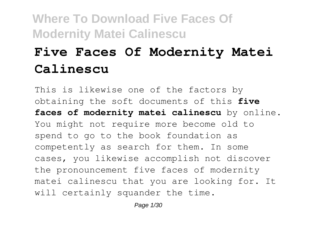# **Five Faces Of Modernity Matei Calinescu**

This is likewise one of the factors by obtaining the soft documents of this **five faces of modernity matei calinescu** by online. You might not require more become old to spend to go to the book foundation as competently as search for them. In some cases, you likewise accomplish not discover the pronouncement five faces of modernity matei calinescu that you are looking for. It will certainly squander the time.

Page 1/30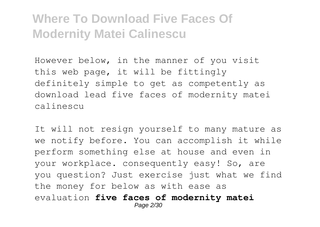However below, in the manner of you visit this web page, it will be fittingly definitely simple to get as competently as download lead five faces of modernity matei calinescu

It will not resign yourself to many mature as we notify before. You can accomplish it while perform something else at house and even in your workplace. consequently easy! So, are you question? Just exercise just what we find the money for below as with ease as evaluation **five faces of modernity matei** Page 2/30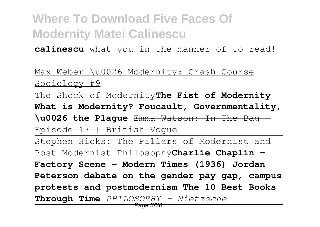**calinescu** what you in the manner of to read!

Max Weber \u0026 Modernity: Crash Course Sociology #9

The Shock of Modernity**The Fist of Modernity What is Modernity? Foucault, Governmentality, \u0026 the Plague** Emma Watson: In The Bag | Episode 17 | British Vogue

Stephen Hicks: The Pillars of Modernist and Post-Modernist Philosophy**Charlie Chaplin - Factory Scene - Modern Times (1936) Jordan Peterson debate on the gender pay gap, campus protests and postmodernism The 10 Best Books Through Time** *PHILOSOPHY - Nietzsche*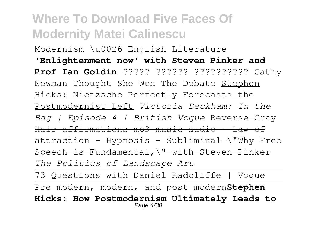Modernism \u0026 English Literature **'Enlightenment now' with Steven Pinker and Prof Ian Goldin** ????? ?????? ?????????? Cathy Newman Thought She Won The Debate Stephen Hicks: Nietzsche Perfectly Forecasts the Postmodernist Left *Victoria Beckham: In the Bag | Episode 4 | British Vogue* Reverse Gray Hair affirmations mp3 music audio - Law of attraction - Hypnosis - Subliminal \"Why Free Speech is Fundamental,\" with Steven Pinker *The Politics of Landscape Art*

73 Questions with Daniel Radcliffe | Vogue Pre modern, modern, and post modern**Stephen Hicks: How Postmodernism Ultimately Leads to** Page 4/30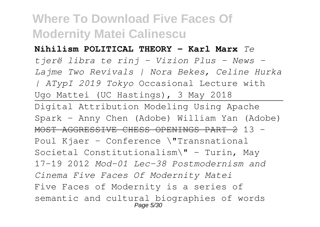#### **Nihilism POLITICAL THEORY - Karl Marx** *Te*

*tjerë libra te rinj - Vizion Plus - News - Lajme Two Revivals | Nora Bekes, Celine Hurka | ATypI 2019 Tokyo* Occasional Lecture with Ugo Mattei (UC Hastings), 3 May 2018 Digital Attribution Modeling Using Apache Spark - Anny Chen (Adobe) William Yan (Adobe) MOST AGGRESSIVE CHESS OPENINGS PART 2 13 - Poul Kjaer - Conference \"Transnational Societal Constitutionalism\" - Turin, May 17-19 2012 *Mod-01 Lec-38 Postmodernism and Cinema Five Faces Of Modernity Matei* Five Faces of Modernity is a series of semantic and cultural biographies of words Page 5/30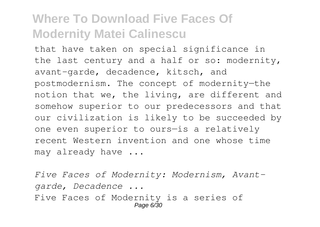that have taken on special significance in the last century and a half or so: modernity, avant-garde, decadence, kitsch, and postmodernism. The concept of modernity—the notion that we, the living, are different and somehow superior to our predecessors and that our civilization is likely to be succeeded by one even superior to ours—is a relatively recent Western invention and one whose time may already have ...

*Five Faces of Modernity: Modernism, Avantgarde, Decadence ...* Five Faces of Modernity is a series of Page 6/30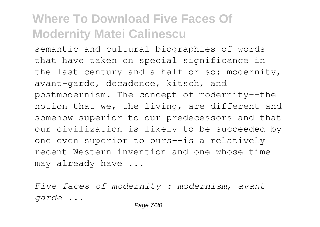semantic and cultural biographies of words that have taken on special significance in the last century and a half or so: modernity, avant-garde, decadence, kitsch, and postmodernism. The concept of modernity--the notion that we, the living, are different and somehow superior to our predecessors and that our civilization is likely to be succeeded by one even superior to ours--is a relatively recent Western invention and one whose time may already have ...

*Five faces of modernity : modernism, avantgarde ...*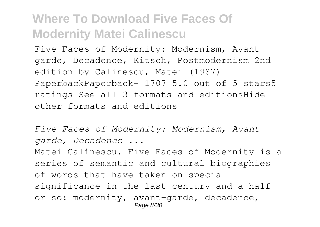Five Faces of Modernity: Modernism, Avantgarde, Decadence, Kitsch, Postmodernism 2nd edition by Calinescu, Matei (1987) PaperbackPaperback– 1707 5.0 out of 5 stars5 ratings See all 3 formats and editionsHide other formats and editions

*Five Faces of Modernity: Modernism, Avantgarde, Decadence ...*

Matei Calinescu. Five Faces of Modernity is a series of semantic and cultural biographies of words that have taken on special significance in the last century and a half or so: modernity, avant-garde, decadence, Page 8/30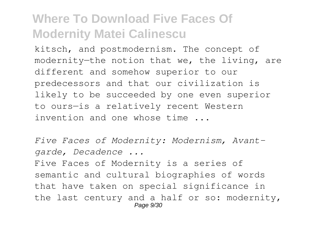kitsch, and postmodernism. The concept of modernity—the notion that we, the living, are different and somehow superior to our predecessors and that our civilization is likely to be succeeded by one even superior to ours—is a relatively recent Western invention and one whose time ...

*Five Faces of Modernity: Modernism, Avantgarde, Decadence ...*

Five Faces of Modernity is a series of semantic and cultural biographies of words that have taken on special significance in the last century and a half or so: modernity, Page 9/30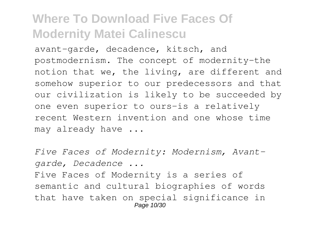avant-garde, decadence, kitsch, and postmodernism. The concept of modernity-the notion that we, the living, are different and somehow superior to our predecessors and that our civilization is likely to be succeeded by one even superior to ours-is a relatively recent Western invention and one whose time may already have ...

*Five Faces of Modernity: Modernism, Avantgarde, Decadence ...*

Five Faces of Modernity is a series of semantic and cultural biographies of words that have taken on special significance in Page 10/30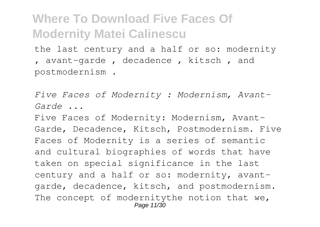the last century and a half or so: modernity , avant-garde , decadence , kitsch , and postmodernism .

*Five Faces of Modernity : Modernism, Avant-Garde ...*

Five Faces of Modernity: Modernism, Avant-Garde, Decadence, Kitsch, Postmodernism. Five Faces of Modernity is a series of semantic and cultural biographies of words that have taken on special significance in the last century and a half or so: modernity, avantgarde, decadence, kitsch, and postmodernism. The concept of modernitythe notion that we, Page 11/30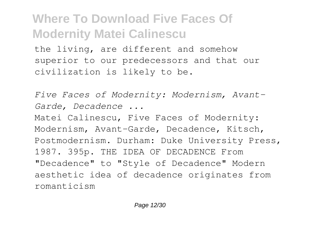the living, are different and somehow superior to our predecessors and that our civilization is likely to be.

*Five Faces of Modernity: Modernism, Avant-Garde, Decadence ...* Matei Calinescu, Five Faces of Modernity: Modernism, Avant-Garde, Decadence, Kitsch, Postmodernism. Durham: Duke University Press, 1987. 395p. THE IDEA OF DECADENCE From "Decadence" to "Style of Decadence" Modern aesthetic idea of decadence originates from romanticism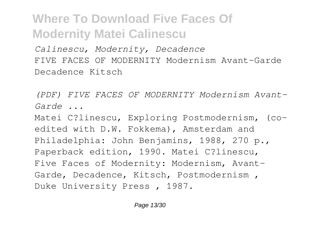*Calinescu, Modernity, Decadence* FIVE FACES OF MODERNITY Modernism Avant-Garde Decadence Kitsch

*(PDF) FIVE FACES OF MODERNITY Modernism Avant-Garde ...*

Matei C?linescu, Exploring Postmodernism, (coedited with D.W. Fokkema), Amsterdam and Philadelphia: John Benjamins, 1988, 270 p., Paperback edition, 1990. Matei C?linescu, Five Faces of Modernity: Modernism, Avant-Garde, Decadence, Kitsch, Postmodernism , Duke University Press , 1987.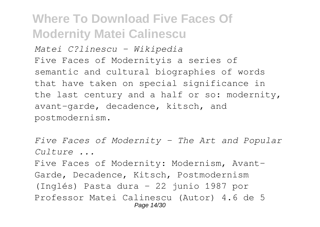*Matei C?linescu - Wikipedia* Five Faces of Modernityis a series of semantic and cultural biographies of words that have taken on special significance in the last century and a half or so: modernity, avant-garde, decadence, kitsch, and postmodernism.

```
Five Faces of Modernity - The Art and Popular
Culture ...
Five Faces of Modernity: Modernism, Avant-
Garde, Decadence, Kitsch, Postmodernism
(Inglés) Pasta dura – 22 junio 1987 por
Professor Matei Calinescu (Autor) 4.6 de 5
                   Page 14/30
```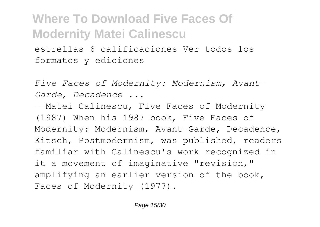estrellas 6 calificaciones Ver todos los formatos y ediciones

*Five Faces of Modernity: Modernism, Avant-Garde, Decadence ...*

--Matei Calinescu, Five Faces of Modernity (1987) When his 1987 book, Five Faces of Modernity: Modernism, Avant-Garde, Decadence, Kitsch, Postmodernism, was published, readers familiar with Calinescu's work recognized in it a movement of imaginative "revision," amplifying an earlier version of the book, Faces of Modernity (1977).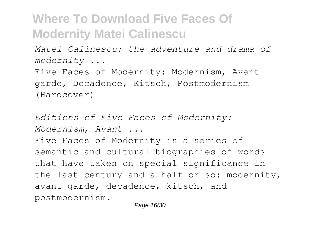*Matei Calinescu: the adventure and drama of modernity ...*

Five Faces of Modernity: Modernism, Avantgarde, Decadence, Kitsch, Postmodernism (Hardcover)

*Editions of Five Faces of Modernity: Modernism, Avant ...*

Five Faces of Modernity is a series of semantic and cultural biographies of words that have taken on special significance in the last century and a half or so: modernity, avant-garde, decadence, kitsch, and postmodernism.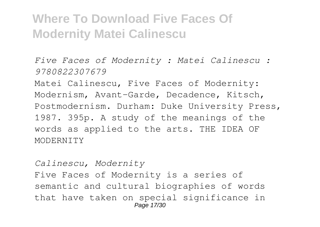*Five Faces of Modernity : Matei Calinescu : 9780822307679*

Matei Calinescu, Five Faces of Modernity: Modernism, Avant-Garde, Decadence, Kitsch, Postmodernism. Durham: Duke University Press, 1987. 395p. A study of the meanings of the words as applied to the arts. THE IDEA OF MODERNITY

*Calinescu, Modernity* Five Faces of Modernity is a series of semantic and cultural biographies of words that have taken on special significance in Page 17/30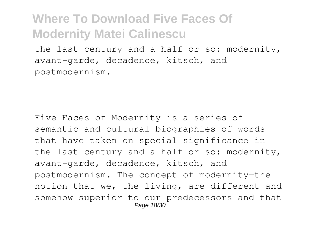the last century and a half or so: modernity, avant-garde, decadence, kitsch, and postmodernism.

Five Faces of Modernity is a series of semantic and cultural biographies of words that have taken on special significance in the last century and a half or so: modernity, avant-garde, decadence, kitsch, and postmodernism. The concept of modernity—the notion that we, the living, are different and somehow superior to our predecessors and that Page 18/30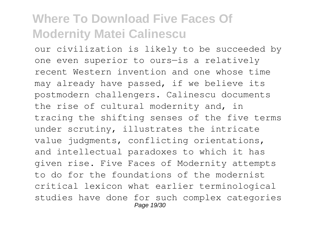our civilization is likely to be succeeded by one even superior to ours—is a relatively recent Western invention and one whose time may already have passed, if we believe its postmodern challengers. Calinescu documents the rise of cultural modernity and, in tracing the shifting senses of the five terms under scrutiny, illustrates the intricate value judgments, conflicting orientations, and intellectual paradoxes to which it has given rise. Five Faces of Modernity attempts to do for the foundations of the modernist critical lexicon what earlier terminological studies have done for such complex categories Page 19/30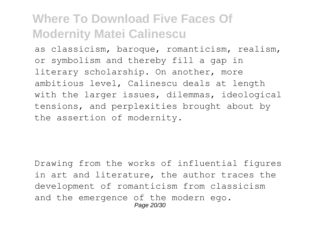as classicism, baroque, romanticism, realism, or symbolism and thereby fill a gap in literary scholarship. On another, more ambitious level, Calinescu deals at length with the larger issues, dilemmas, ideological tensions, and perplexities brought about by the assertion of modernity.

Drawing from the works of influential figures in art and literature, the author traces the development of romanticism from classicism and the emergence of the modern ego. Page 20/30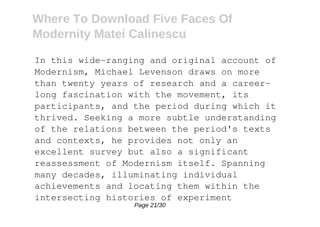In this wide-ranging and original account of Modernism, Michael Levenson draws on more than twenty years of research and a careerlong fascination with the movement, its participants, and the period during which it thrived. Seeking a more subtle understanding of the relations between the period's texts and contexts, he provides not only an excellent survey but also a significant reassessment of Modernism itself. Spanning many decades, illuminating individual achievements and locating them within the intersecting histories of experiment Page 21/30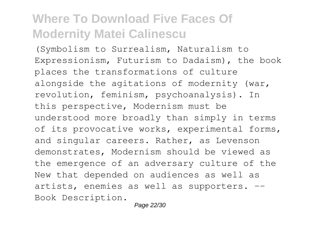(Symbolism to Surrealism, Naturalism to Expressionism, Futurism to Dadaism), the book places the transformations of culture alongside the agitations of modernity (war, revolution, feminism, psychoanalysis). In this perspective, Modernism must be understood more broadly than simply in terms of its provocative works, experimental forms, and singular careers. Rather, as Levenson demonstrates, Modernism should be viewed as the emergence of an adversary culture of the New that depended on audiences as well as artists, enemies as well as supporters. -- Book Description.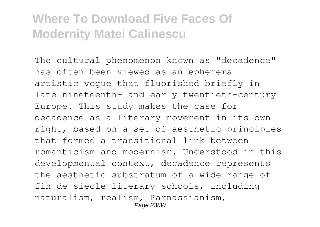The cultural phenomenon known as "decadence" has often been viewed as an ephemeral artistic vogue that fluorished briefly in late nineteenth- and early twentieth-century Europe. This study makes the case for decadence as a literary movement in its own right, based on a set of aesthetic principles that formed a transitional link between romanticism and modernism. Understood in this developmental context, decadence represents the aesthetic substratum of a wide range of fin-de-siecle literary schools, including naturalism, realism, Parnassianism, Page 23/30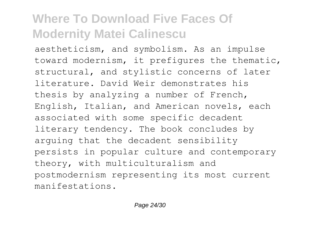aestheticism, and symbolism. As an impulse toward modernism, it prefigures the thematic, structural, and stylistic concerns of later literature. David Weir demonstrates his thesis by analyzing a number of French, English, Italian, and American novels, each associated with some specific decadent literary tendency. The book concludes by arguing that the decadent sensibility persists in popular culture and contemporary theory, with multiculturalism and postmodernism representing its most current manifestations.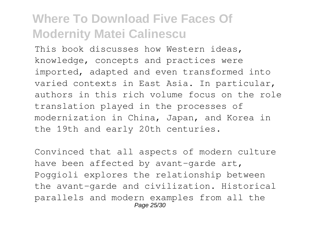This book discusses how Western ideas, knowledge, concepts and practices were imported, adapted and even transformed into varied contexts in East Asia. In particular, authors in this rich volume focus on the role translation played in the processes of modernization in China, Japan, and Korea in the 19th and early 20th centuries.

Convinced that all aspects of modern culture have been affected by avant-garde art, Poggioli explores the relationship between the avant-garde and civilization. Historical parallels and modern examples from all the Page 25/30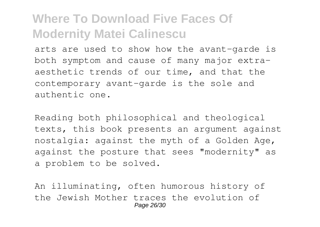arts are used to show how the avant-garde is both symptom and cause of many major extraaesthetic trends of our time, and that the contemporary avant-garde is the sole and authentic one.

Reading both philosophical and theological texts, this book presents an argument against nostalgia: against the myth of a Golden Age, against the posture that sees "modernity" as a problem to be solved.

An illuminating, often humorous history of the Jewish Mother traces the evolution of Page 26/30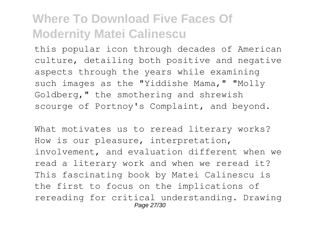this popular icon through decades of American culture, detailing both positive and negative aspects through the years while examining such images as the "Yiddishe Mama," "Molly Goldberg," the smothering and shrewish scourge of Portnoy's Complaint, and beyond.

What motivates us to reread literary works? How is our pleasure, interpretation, involvement, and evaluation different when we read a literary work and when we reread it? This fascinating book by Matei Calinescu is the first to focus on the implications of rereading for critical understanding. Drawing Page 27/30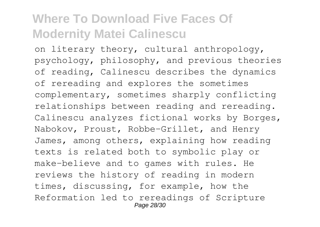on literary theory, cultural anthropology, psychology, philosophy, and previous theories of reading, Calinescu describes the dynamics of rereading and explores the sometimes complementary, sometimes sharply conflicting relationships between reading and rereading. Calinescu analyzes fictional works by Borges, Nabokov, Proust, Robbe-Grillet, and Henry James, among others, explaining how reading texts is related both to symbolic play or make-believe and to games with rules. He reviews the history of reading in modern times, discussing, for example, how the Reformation led to rereadings of Scripture Page 28/30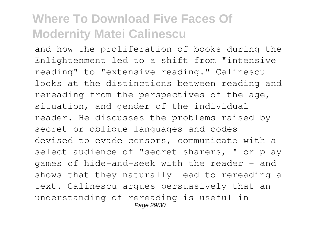and how the proliferation of books during the Enlightenment led to a shift from "intensive reading" to "extensive reading." Calinescu looks at the distinctions between reading and rereading from the perspectives of the age, situation, and gender of the individual reader. He discusses the problems raised by secret or oblique languages and codes devised to evade censors, communicate with a select audience of "secret sharers, " or play games of hide-and-seek with the reader - and shows that they naturally lead to rereading a text. Calinescu argues persuasively that an understanding of rereading is useful in Page 29/30